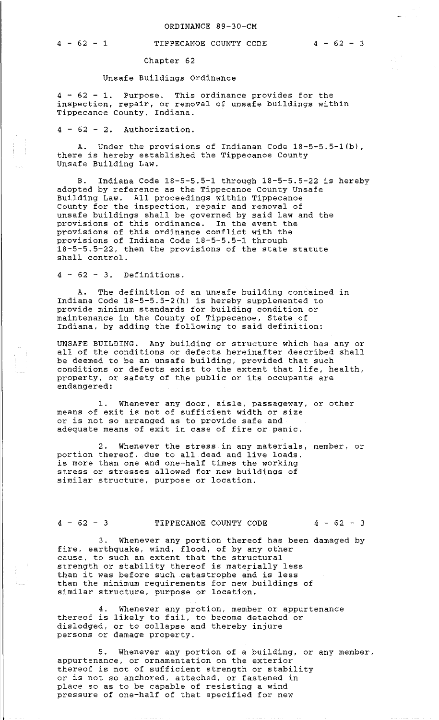## 4 - 62 - 1 TIPPECANOE COUNTY CODE 4 - 62 - 3

Chapter 62

## Unsafe Buildings Ordinance

4 - 62 - 1. Purpose. This ordinance provides for the inspection, repair, or removal of unsafe buildings within Tippecanoe County, Indiana.

 $4 - 62 - 2$ . Authorization.

A. Under the provisions of Indianan Code 18-5-5.5-l(b), there is hereby established the Tippecanoe County Unsafe Building Law.

B. Indiana Code 18-5-5.5-1 through 18-5-5.5-22 is hereby adopted by reference as the Tippecanoe county Unsafe Building Law. All proceedings within Tippecanoe County for the inspection, repair and removal of unsafe buildings shall be governed by said law and the provisions of this ordinance. In the event the provisions of this ordinance conflict with the provisions of Indiana Code 18-5-5.5-1 through 18-5-5.5-22, then the provisions of the state statute shall control.

 $4 - 62 - 3$ . Definitions.

A. The definition of an unsafe building contained in Indiana Code 18-5-5.5-2(h) is hereby supplemented to provide minimum standards for building condition or maintenance in the County of Tippecanoe, State of Indiana, by adding the following to said definition:

UNSAFE BUILDING. Any building or structure which has any or all of the conditions or defects hereinafter described shall be deemed to be an unsafe building, provided that such conditions or defects exist to the extent that life, health, property, or safety of the public or its occupants are endangered:

1. Whenever any door, aisle, passageway, or other means of exit is not of sufficient width or size or is not so arranged as to provide safe and adequate means of exit in case of fire or panic.

2. Whenever the stress in any materials, member, or portion thereof, due to all dead and live loads, is more than one and one-half times the working stress or stresses allowed for new buildings of similar structure, purpose or location.

## 4 - 62 - 3 TIPPECANOE COUNTY CODE 4 - 62 - 3

3. Whenever any portion thereof has been damaged by fire, earthquake, wind, flood, of by any other cause, to such an extent that the structural strength or stability thereof is materially less strength or stability thereor is materially less<br>than it was before such catastrophe and is less than the minimum requirements for new buildings of similar structure, purpose or location.

4. Whenever any protion, member or appurtenance thereof is likely to fail, to become detached or dislodged, or to collapse and thereby injure persons or damage property.

5. Whenever any portion of a building, or any member, appurtenance, or ornamentation on the exterior thereof is not of sufficient strength or stability or is not so anchored, attached, or fastened in place so as to be capable of resisting a wind pressure of one-half of that specified for new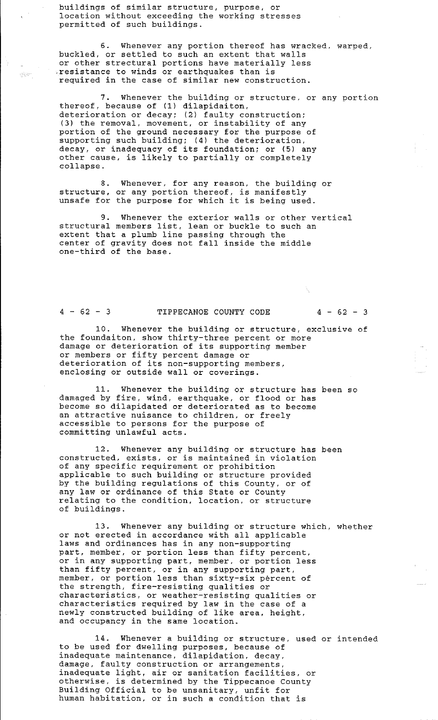buildings of similar structure, purpose, or location without exceeding the working stresses permitted of such buildings.

6. Whenever any portion thereof has wracked, warped, buckled, or settled to such an extent that walls or other strectural portions have materially less resistance to winds or earthquakes than is required in the case of similar new construction.

7. Whenever the building or structure, or any portion thereof, because of (1) dilapidaiton, deterioration or decay; (2) faulty construction; (3) the removal, movement, or instability of any portion of the ground necessary for the purpose of supporting such building; (4) the deterioration, supporting such building, (4) the deterioration,<br>decay, or inadequacy of its foundation; or (5) any other cause, is likely to partially or completely collapse.

8. Whenever, for any reason, the building or structure, or any portion thereof, is manifestly structure, or any portion thereor, is manifestly<br>unsafe for the purpose for which it is being used.

9. Whenever the exterior walls or other vertical structural members list, lean or buckle to such an extent that a plumb line passing through the center of gravity does not fall inside the middle one-third of the base.

à.

 $\mathcal{O}(85)$ 

## 4 - 62 - 3 TIPPECANOE COUNTY CODE 4 - 62 - 3

10. Whenever the building or structure, exclusive of the foundaiton, show thirty-three percent or more damage or deterioration of its supporting member or members or fifty percent damage or deterioration of its non-supporting members, enclosing or outside wall or coverings.

11. Whenever the building or structure has been so damaged by fire, wind, earthquake, or flood or has become so dilapidated or deteriorated as to become an attractive nuisance to children, or freely accessible to persons for the purpose of committing unlawful acts.

12. Whenever any building or structure has been constructed, exists, or is maintained in violation of any specific requirement or prohibition applicable to such building or structure provided by the building regulations of this County, or of any law or ordinance of this State or County relating to the condition, location, or structure of buildings.

13. Whenever any building or structure which, whether or not erected in accordance with all applicable laws and ordinances has in any non-supporting part, member, or portion less than fifty percent, or in any supporting part, member, or portion less In any supporting part, member, or portion . member, or portion less than sixty-six percent of the strength, fire-resisting qualities or characteristics, or weather-resisting qualities or characteristics required by law in the case of a newly constructed building of like area, height, and occupancy in the same location.

14. Whenever a building or structure, used or intended to be used for dwelling purposes, because of inadequate maintenance, dilapidation, decay, damage, faulty construction or arrangements, inadequate light, air or sanitation facilities, or otherwise, is determined by the Tippecanoe County Building Official to be unsanitary, unfit for human habitation, or in such a condition that is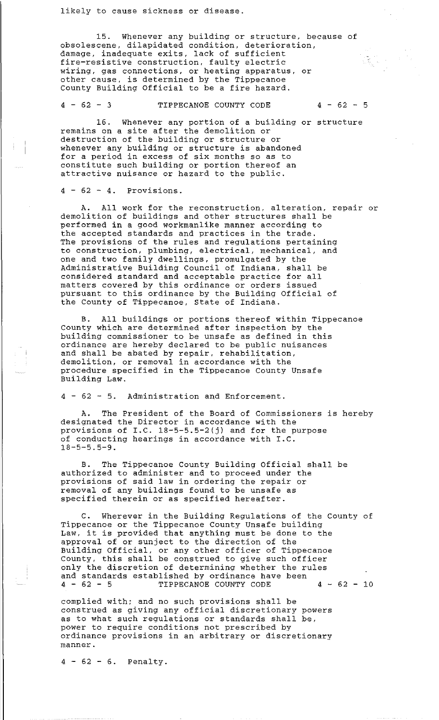15. Whenever any building or structure, because of obsolescene, dilapidated condition, deterioration, damage, inadequate exits, lack of sufficient fire-resistive construction, faulty electric wiring, gas connections, or heating apparatus, or other cause, is determined by the Tippecanoe County Building Official to be a fire hazard.

4 - 62 - 3 TIPPECANOE COUNTY CODE 4 - 62 - 5

16. Whenever any portion of a building or structure remains on a site after the demolition or destruction of the building or structure or whenever any building or structure is abandoned for a period in excess of six months so as to constitute such building or portion thereof an attractive nuisance or hazard to the public.

 $4 - 62 - 4$ . Provisions.

A. All work for the reconstruction, alteration, repair or demolition of buildings and other structures shall be performed in a good workmanlike manner according to the accepted standards and practices in the trade. The provisions of the rules and regulations pertaining to construction, plumbing, electrical, mechanical, and one and two family dwellings, promulgated by the Administrative Building Council of Indiana, shall be considered standard and acceptable practice for all matters covered by this ordinance or orders issued pursuant to this ordinance by the Building Official of the County of Tippecanoe, State of Indiana.

B. All buildings or portions thereof within Tippecanoe county which are determined after inspection by the building commissioner to be unsafe as defined in this ordinance are hereby declared to be public nuisances and shall be abated by repair, rehabilitation, demolition, or removal in accordance with the procedure specified in the Tippecanoe County Unsafe Building Law.

4 - 62 - 5. Administration and Enforcement.

A. The President of the Board of Commissioners is hereby designated the Director in accordance with the provisions of I.C. 18-5-5.5-2(j) and for the purpose of conducting hearings in accordance with I.C. 18-5-5.5-9.

B. The Tippecanoe County Building Official shall be authorized to administer and to proceed under the provisions of said law in ordering the repair or removal of any buildings found to be unsafe as specified therein or as specified hereafter.

Wherever in the Building Regulations of the County of Tippecanoe or the Tippecanoe County Unsafe building Law, it is provided that anything must be done to the approval of or sunject to the direction of the Building Official, or any other officer of Tippecanoe County, this shall be construed to give such officer only the discretion of determining whether the rules and standards established by ordinance have been 4 - 62 - 5 TIPPECANOE COUNTY CODE 4 - 62 - 10

complied with; and no such provisions shall be construed as giving any official discretionary powers as to what such regulations or standards shall be, power to require conditions not prescribed by ordinance provisions in an arbitrary or discretionary manner.

 $4 - 62 - 6$ . Penalty.